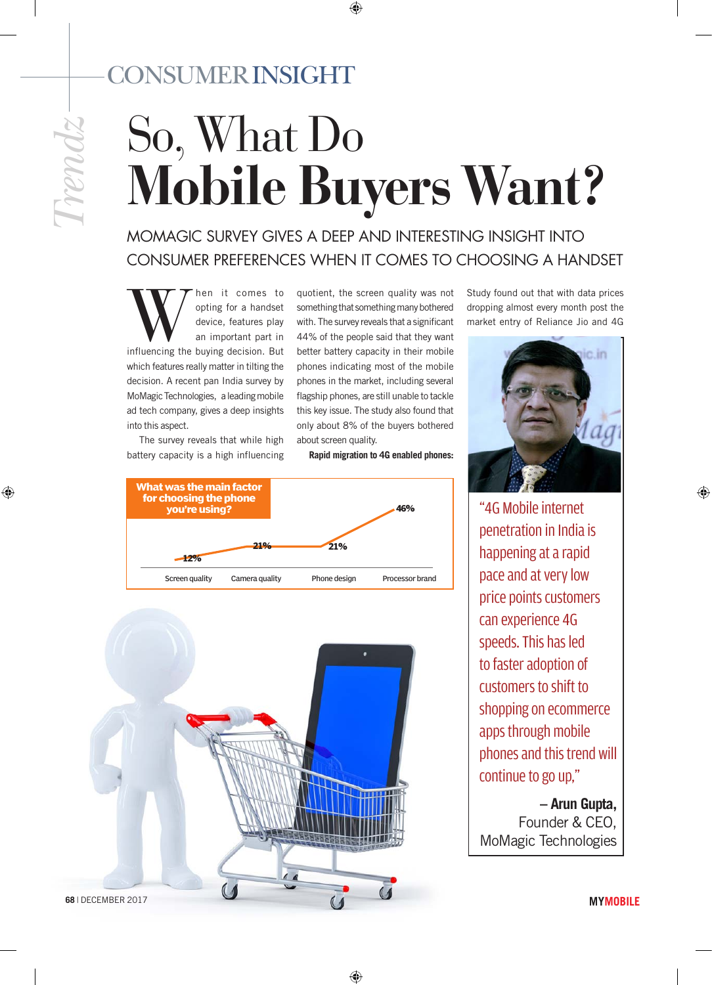## cONSUMER insight

⊕

# So, What Do **Mobile Buyers Want?**

 $\bigoplus$ 

MoMagic survey gives a deep and interesting insight into consumer preferences when it comes to choosing a handset

**influencing** then it comes to opting for a handset device, features play an important part in influencing the buying decision. But opting for a handset device, features play an important part in which features really matter in tilting the decision. A recent pan India survey by MoMagic Technologies, a leading mobile ad tech company, gives a deep insights into this aspect.

The survey reveals that while high battery capacity is a high influencing quotient, the screen quality was not something that something many bothered with. The survey reveals that a significant 44% of the people said that they want better battery capacity in their mobile phones indicating most of the mobile phones in the market, including several flagship phones, are still unable to tackle this key issue. The study also found that only about 8% of the buyers bothered about screen quality.

#### **Rapid migration to 4G enabled phones:**

⊕





Study found out that with data prices dropping almost every month post the market entry of Reliance Jio and 4G



⊕

"4G Mobile internet penetration in India is happening at a rapid pace and at very low price points customers can experience 4G speeds. This has led to faster adoption of customers to shift to shopping on ecommerce apps through mobile phones and this trend will continue to go up,"

 **– Arun Gupta,** Founder & CEO, MoMagic Technologies

**MYMOBILE**